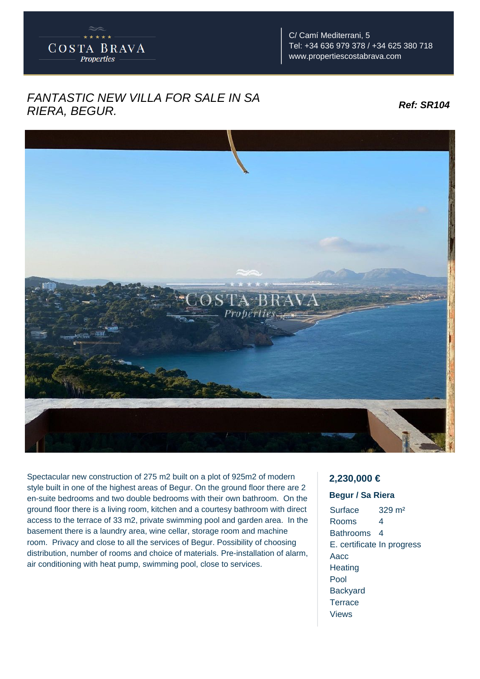

C/ Camí Mediterrani, 5 Tel: +34 636 979 378 / +34 625 380 718 www.propertiescostabrava.com

## FANTASTIC NEW VILLA FOR SALE IN SA RIERA, BEGUR. **Ref: SR104**



Spectacular new construction of 275 m2 built on a plot of 925m2 of modern style built in one of the highest areas of Begur. On the ground floor there are 2 en-suite bedrooms and two double bedrooms with their own bathroom. On the ground floor there is a living room, kitchen and a courtesy bathroom with direct access to the terrace of 33 m2, private swimming pool and garden area. In the basement there is a laundry area, wine cellar, storage room and machine room. Privacy and close to all the services of Begur. Possibility of choosing distribution, number of rooms and choice of materials. Pre-installation of alarm, air conditioning with heat pump, swimming pool, close to services.

## **2,230,000 €**

## **Begur / Sa Riera**

Surface 329 m² Rooms 4 Bathrooms 4 E. certificate In progress Aacc **Heating** Pool **Backyard Terrace** Views